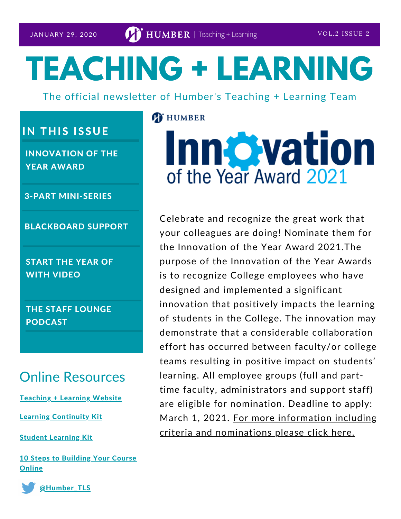# **TEACHING + LEARNING**

The official newsletter of Humber's Teaching + Learning Team

## **IN THIS ISSUE**

INNOVATION OF THE YEAR AWARD

3-PART MINI-SERIES

BLACKBOARD SUPPORT

START THE YEAR OF WITH VIDEO

THE STAFF LOUNGE PODCAST

## Online Resources

[Teaching](https://humber.ca/teachingandlearning/) + Learning Website

Learning [Continuity](https://sites.google.com/view/learningcontinuitykit/home) Kit

Student [Learning](https://sites.google.com/view/studentlearningkit) Kit

10 Steps to [Building](https://view.genial.ly/5e8ce13874dd8c0e246ef382) Your Course **Online** 



[@Humber\\_TLS](https://twitter.com/Humber_TLS)

#### **T** HUMBER

## **Innovation** of the Year Award 2021

Celebrate and recognize the great work that your colleagues are doing! Nominate them for the Innovation of the Year Award 2021.The purpose of the Innovation of the Year Awards is to recognize College employees who have designed and implemented a significant innovation that positively impacts the learning of students in the College. The innovation may demonstrate that a considerable collaboration effort has occurred between faculty/or college teams resulting in positive impact on students' learning. All employee groups (full and parttime faculty, administrators and support staff) are eligible for nomination. Deadline to apply: March 1, 2021. For more information including criteria and [nominations](https://humber.ca/staff/announcement/innovation-year-award-2021) please click here.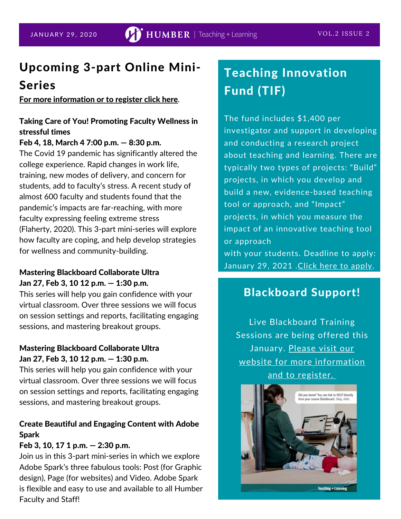## Upcoming 3-part Online Mini-

### Series

For more [information](https://humber.ca/teachingandlearning/level-up-teaching/mini-series/) or to register click here.

#### Taking Care of You! Promoting Faculty Wellness in stressful times

#### Feb 4, 18, March 4 7:00 p.m. — 8:30 p.m.

The Covid 19 pandemic has significantly altered the college experience. Rapid changes in work life, training, new modes of delivery, and concern for students, add to faculty's stress. A recent study of almost 600 faculty and students found that the pandemic's impacts are far-reaching, with more faculty expressing feeling extreme stress (Flaherty, 2020). This 3-part mini-series will explore how faculty are coping, and help develop strategies for wellness and community-building.

#### Mastering Blackboard Collaborate Ultra Jan 27, Feb 3, 10 12 p.m. — 1:30 p.m.

This series will help you gain confidence with your virtual classroom. Over three sessions we will focus on session settings and reports, facilitating engaging sessions, and mastering breakout groups.

#### Mastering Blackboard Collaborate Ultra Jan 27, Feb 3, 10 12 p.m. — 1:30 p.m.

This series will help you gain confidence with your virtual classroom. Over three sessions we will focus on session settings and reports, facilitating engaging sessions, and mastering breakout groups.

#### Create Beautiful and Engaging Content with Adobe Spark

#### Feb 3, 10, 17 1 p.m. — 2:30 p.m.

Join us in this 3-part mini-series in which we explore Adobe Spark's three fabulous tools: Post (for Graphic design), Page (for websites) and Video. Adobe Spark is flexible and easy to use and available to all Humber Faculty and Staff!

## Teaching Innovation Fund (TIF)

The fund includes \$1,400 per investigator and support in developing and conducting a research project about teaching and learning. There are typically two types of projects: "Build" projects, in which you develop and build a new, evidence-based teaching tool or approach, and "Impact" projects, in which you measure the impact of an innovative teaching tool or approach

with your students. Deadline to apply: January 29, 2021 . Click here to [apply.](https://humber.ca/staff/announcement/teaching-innovation-fund-apply-today)

#### Blackboard Support!

Live Blackboard Training Sessions are being offered this January. Please visit our website for more [information](https://humber.ca/teachingandlearning/) and to register.